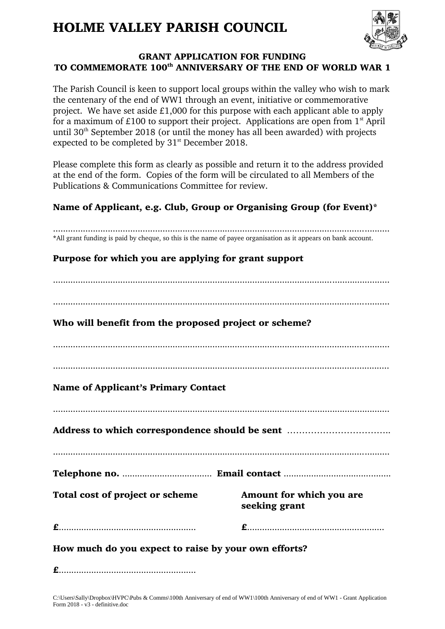# HOLME VALLEY PARISH COUNCIL



## GRANT APPLICATION FOR FUNDING TO COMMEMORATE 100<sup>th</sup> ANNIVERSARY OF THE END OF WORLD WAR 1

The Parish Council is keen to support local groups within the valley who wish to mark the centenary of the end of WW1 through an event, initiative or commemorative project. We have set aside £1,000 for this purpose with each applicant able to apply for a maximum of  $£100$  to support their project. Applications are open from  $1<sup>st</sup>$  April until  $30<sup>th</sup>$  September 2018 (or until the money has all been awarded) with projects expected to be completed by 31<sup>st</sup> December 2018.

Please complete this form as clearly as possible and return it to the address provided at the end of the form. Copies of the form will be circulated to all Members of the Publications & Communications Committee for review.

# Name of Applicant, e.g. Club, Group or Organising Group (for Event)\*

....................................................................................................................................... \*All grant funding is paid by cheque, so this is the name of payee organisation as it appears on bank account. Purpose for which you are applying for grant support ....................................................................................................................................... Who will benefit from the proposed project or scheme? ....................................................................................................................................... Name of Applicant's Primary Contact ....................................................................................................................................... Address to which correspondence should be sent …………………………….. Telephone no. .................................... Email contact ........................................... Total cost of project or scheme Amount for which you are seeking grant £....................................................... £....................................................... How much do you expect to raise by your own efforts? £.......................................................